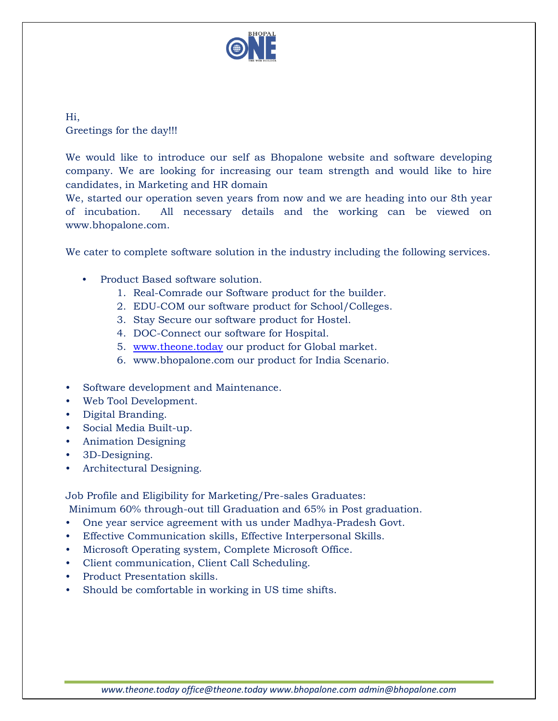

Hi, Greetings for the day!!!

We would like to introduce our self as Bhopalone website and software developing company. We are looking for increasing our team strength and would like to hire candidates, in Marketing and HR domain

We, started our operation seven years from now and we are heading into our 8th year of incubation. All necessary details and the working can be viewed on www.bhopalone.com.

We cater to complete software solution in the industry including the following services.

- Product Based software solution.
	- 1. Real-Comrade our Software product for the builder.
	- 2. EDU-COM our software product for School/Colleges.
	- 3. Stay Secure our software product for Hostel.
	- 4. DOC-Connect our software for Hospital.
	- 5. [www.theone.today](http://www.theone.today/) our product for Global market.
	- 6. www.bhopalone.com our product for India Scenario.
- Software development and Maintenance.
- Web Tool Development.
- Digital Branding.
- Social Media Built-up.
- Animation Designing
- 3D-Designing.
- Architectural Designing.

Job Profile and Eligibility for Marketing/Pre-sales Graduates:

- Minimum 60% through-out till Graduation and 65% in Post graduation.
- One year service agreement with us under Madhya-Pradesh Govt.
- Effective Communication skills, Effective Interpersonal Skills.
- Microsoft Operating system, Complete Microsoft Office.
- Client communication, Client Call Scheduling.
- Product Presentation skills.
- Should be comfortable in working in US time shifts.